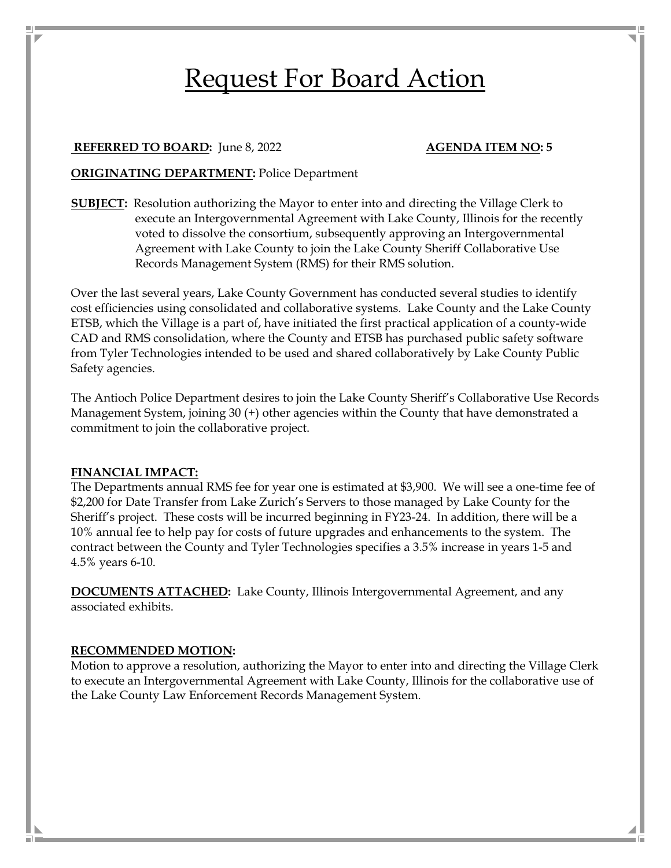# Request For Board Action

#### **REFERRED TO BOARD:** June 8, 2022 **AGENDA ITEM NO: 5**

#### **ORIGINATING DEPARTMENT:** Police Department

**SUBJECT:** Resolution authorizing the Mayor to enter into and directing the Village Clerk to execute an Intergovernmental Agreement with Lake County, Illinois for the recently voted to dissolve the consortium, subsequently approving an Intergovernmental Agreement with Lake County to join the Lake County Sheriff Collaborative Use Records Management System (RMS) for their RMS solution.

Over the last several years, Lake County Government has conducted several studies to identify cost efficiencies using consolidated and collaborative systems. Lake County and the Lake County ETSB, which the Village is a part of, have initiated the first practical application of a county-wide CAD and RMS consolidation, where the County and ETSB has purchased public safety software from Tyler Technologies intended to be used and shared collaboratively by Lake County Public Safety agencies.

The Antioch Police Department desires to join the Lake County Sheriff's Collaborative Use Records Management System, joining 30 (+) other agencies within the County that have demonstrated a commitment to join the collaborative project.

#### **FINANCIAL IMPACT:**

The Departments annual RMS fee for year one is estimated at \$3,900. We will see a one-time fee of \$2,200 for Date Transfer from Lake Zurich's Servers to those managed by Lake County for the Sheriff's project. These costs will be incurred beginning in FY23-24. In addition, there will be a 10% annual fee to help pay for costs of future upgrades and enhancements to the system. The contract between the County and Tyler Technologies specifies a 3.5% increase in years 1-5 and 4.5% years 6-10.

**DOCUMENTS ATTACHED:** Lake County, Illinois Intergovernmental Agreement, and any associated exhibits.

#### **RECOMMENDED MOTION:**

Motion to approve a resolution, authorizing the Mayor to enter into and directing the Village Clerk to execute an Intergovernmental Agreement with Lake County, Illinois for the collaborative use of the Lake County Law Enforcement Records Management System.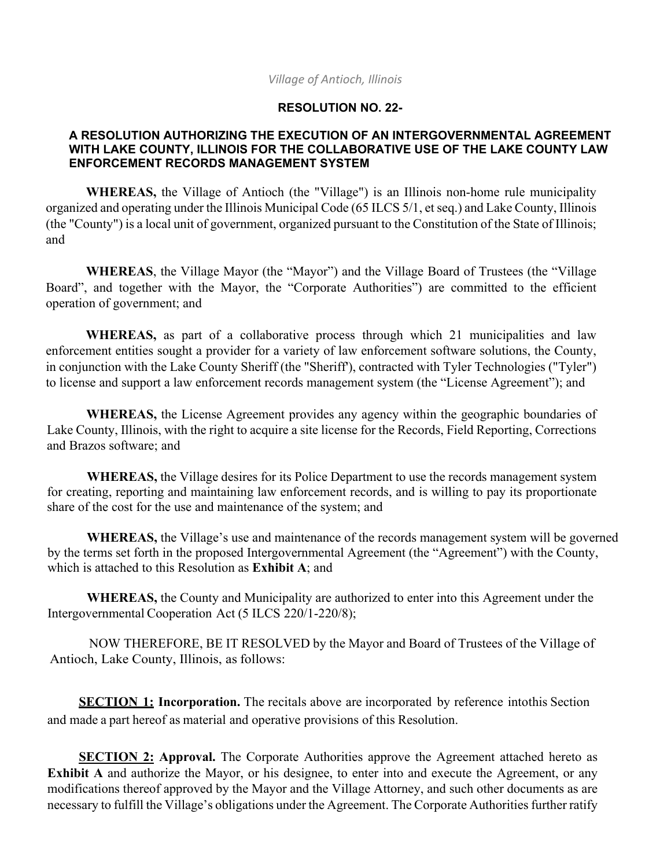### *Village of Antioch, Illinois*

## **RESOLUTION NO. 22-**

### **A RESOLUTION AUTHORIZING THE EXECUTION OF AN INTERGOVERNMENTAL AGREEMENT WITH LAKE COUNTY, ILLINOIS FOR THE COLLABORATIVE USE OF THE LAKE COUNTY LAW ENFORCEMENT RECORDS MANAGEMENT SYSTEM**

**WHEREAS,** the Village of Antioch (the "Village") is an Illinois non-home rule municipality organized and operating under the Illinois Municipal Code (65 ILCS 5/1, et seq.) and Lake County, Illinois (the "County") is a local unit of government, organized pursuant to the Constitution of the State of Illinois; and

**WHEREAS**, the Village Mayor (the "Mayor") and the Village Board of Trustees (the "Village Board", and together with the Mayor, the "Corporate Authorities") are committed to the efficient operation of government; and

**WHEREAS,** as part of a collaborative process through which 21 municipalities and law enforcement entities sought a provider for a variety of law enforcement software solutions, the County, in conjunction with the Lake County Sheriff (the "Sheriff'), contracted with Tyler Technologies ("Tyler") to license and support a law enforcement records management system (the "License Agreement"); and

**WHEREAS,** the License Agreement provides any agency within the geographic boundaries of Lake County, Illinois, with the right to acquire a site license for the Records, Field Reporting, Corrections and Brazos software; and

**WHEREAS,** the Village desires for its Police Department to use the records management system for creating, reporting and maintaining law enforcement records, and is willing to pay its proportionate share of the cost for the use and maintenance of the system; and

**WHEREAS,** the Village's use and maintenance of the records management system will be governed by the terms set forth in the proposed Intergovernmental Agreement (the "Agreement") with the County, which is attached to this Resolution as **Exhibit A**; and

**WHEREAS,** the County and Municipality are authorized to enter into this Agreement under the Intergovernmental Cooperation Act (5 ILCS 220/1-220/8);

NOW THEREFORE, BE IT RESOLVED by the Mayor and Board of Trustees of the Village of Antioch, Lake County, Illinois, as follows:

**SECTION 1: Incorporation.** The recitals above are incorporated by reference into this Section and made a part hereof as material and operative provisions of this Resolution.

**SECTION 2: Approval.** The Corporate Authorities approve the Agreement attached hereto as **Exhibit A** and authorize the Mayor, or his designee, to enter into and execute the Agreement, or any modifications thereof approved by the Mayor and the Village Attorney, and such other documents as are necessary to fulfill the Village's obligations under the Agreement. The Corporate Authorities further ratify